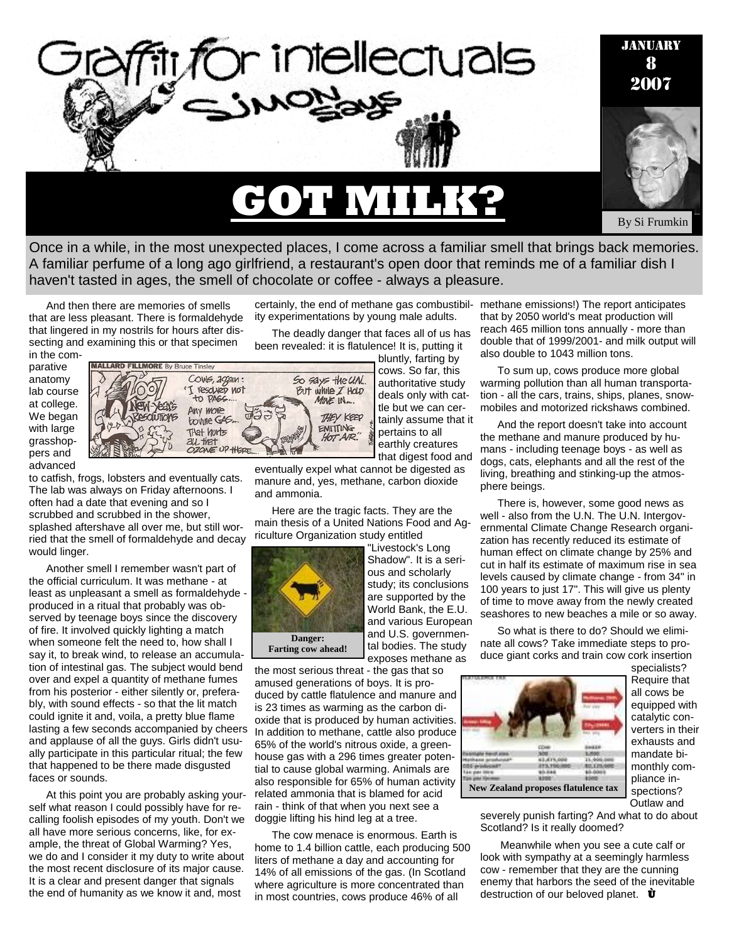

Once in a while, in the most unexpected places, I come across a familiar smell that brings back memories. A familiar perfume of a long ago girlfriend, a restaurant's open door that reminds me of a familiar dish I haven't tasted in ages, the smell of chocolate or coffee - always a pleasure.

And then there are memories of smells that are less pleasant. There is formaldehyde that lingered in my nostrils for hours after dissecting and examining this or that specimen

in the comparative anatomy lab course at college. We began with large grasshoppers and advanced



to catfish, frogs, lobsters and eventually cats. The lab was always on Friday afternoons. I often had a date that evening and so I scrubbed and scrubbed in the shower, splashed aftershave all over me, but still worried that the smell of formaldehyde and decay would linger.

Another smell I remember wasn't part of the official curriculum. It was methane - at least as unpleasant a smell as formaldehyde produced in a ritual that probably was observed by teenage boys since the discovery of fire. It involved quickly lighting a match when someone felt the need to, how shall I say it, to break wind, to release an accumulation of intestinal gas. The subject would bend over and expel a quantity of methane fumes from his posterior - either silently or, preferably, with sound effects - so that the lit match could ignite it and, voila, a pretty blue flame lasting a few seconds accompanied by cheers and applause of all the guys. Girls didn't usually participate in this particular ritual; the few that happened to be there made disgusted faces or sounds.

At this point you are probably asking yourself what reason I could possibly have for recalling foolish episodes of my youth. Don't we all have more serious concerns, like, for example, the threat of Global Warming? Yes, we do and I consider it my duty to write about the most recent disclosure of its major cause. It is a clear and present danger that signals the end of humanity as we know it and, most

ity experimentations by young male adults.

The deadly danger that faces all of us has been revealed: it is flatulence! It is, putting it

bluntly, farting by cows. So far, this authoritative study deals only with cattle but we can certainly assume that it pertains to all earthly creatures that digest food and

eventually expel what cannot be digested as manure and, yes, methane, carbon dioxide and ammonia.

Here are the tragic facts. They are the main thesis of a United Nations Food and Agriculture Organization study entitled



"Livestock's Long Shadow". It is a serious and scholarly study; its conclusions are supported by the World Bank, the E.U. and various European and U.S. governmental bodies. The study exposes methane as

the most serious threat - the gas that so amused generations of boys. It is produced by cattle flatulence and manure and is 23 times as warming as the carbon dioxide that is produced by human activities. In addition to methane, cattle also produce 65% of the world's nitrous oxide, a greenhouse gas with a 296 times greater potential to cause global warming. Animals are also responsible for 65% of human activity related ammonia that is blamed for acid rain - think of that when you next see a doggie lifting his hind leg at a tree.

The cow menace is enormous. Earth is home to 1.4 billion cattle, each producing 500 liters of methane a day and accounting for 14% of all emissions of the gas. (In Scotland where agriculture is more concentrated than in most countries, cows produce 46% of all

certainly, the end of methane gas combustibil-methane emissions!) The report anticipates that by 2050 world's meat production will reach 465 million tons annually - more than double that of 1999/2001- and milk output will also double to 1043 million tons.

> To sum up, cows produce more global warming pollution than all human transportation - all the cars, trains, ships, planes, snowmobiles and motorized rickshaws combined.

And the report doesn't take into account the methane and manure produced by humans - including teenage boys - as well as dogs, cats, elephants and all the rest of the living, breathing and stinking-up the atmosphere beings.

There is, however, some good news as well - also from the U.N. The U.N. Intergovernmental Climate Change Research organization has recently reduced its estimate of human effect on climate change by 25% and cut in half its estimate of maximum rise in sea levels caused by climate change - from 34" in 100 years to just 17". This will give us plenty of time to move away from the newly created seashores to new beaches a mile or so away.

So what is there to do? Should we eliminate all cows? Take immediate steps to produce giant corks and train cow cork insertion



specialists? Require that all cows be equipped with catalytic converters in their exhausts and mandate bimonthly compliance inspections? Outlaw and

severely punish farting? And what to do about Scotland? Is it really doomed?

 Meanwhile when you see a cute calf or look with sympathy at a seemingly harmless cow - remember that they are the cunning enemy that harbors the seed of the inevitable destruction of our beloved planet. **Ù**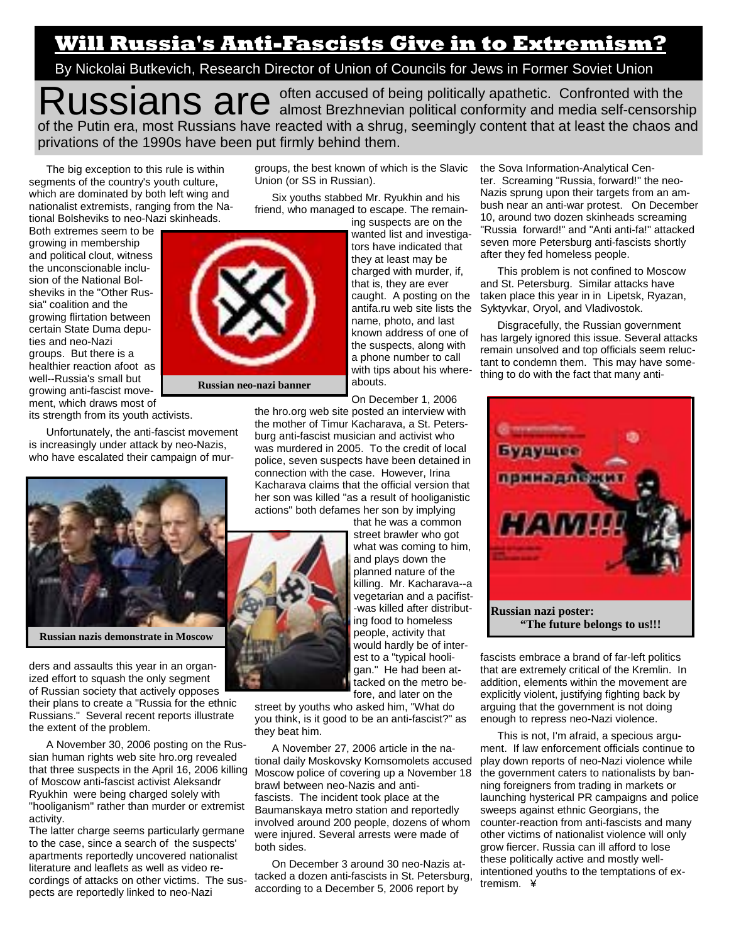## **Will Russia's Anti-Fascists Give in to Extremism?**

By Nickolai Butkevich, Research Director of Union of Councils for Jews in Former Soviet Union

Russians are <sup>often accused of being politically apathetic. Confronted with the almost Brezhnevian political conformity and media self-censorship</sup> of the Putin era, most Russians have reacted with a shrug, seemingly content that at least the chaos and privations of the 1990s have been put firmly behind them.

The big exception to this rule is within segments of the country's youth culture, which are dominated by both left wing and nationalist extremists, ranging from the National Bolsheviks to neo-Nazi skinheads.

Both extremes seem to be growing in membership and political clout, witness the unconscionable inclusion of the National Bolsheviks in the "Other Russia" coalition and the growing flirtation between certain State Duma deputies and neo-Nazi groups. But there is a healthier reaction afoot as well--Russia's small but growing anti-fascist movement, which draws most of

its strength from its youth activists.

Unfortunately, the anti-fascist movement is increasingly under attack by neo-Nazis, who have escalated their campaign of mur-



ders and assaults this year in an organized effort to squash the only segment of Russian society that actively opposes their plans to create a "Russia for the ethnic Russians." Several recent reports illustrate the extent of the problem.

A November 30, 2006 posting on the Russian human rights web site hro.org revealed that three suspects in the April 16, 2006 killing of Moscow anti-fascist activist Aleksandr Ryukhin were being charged solely with "hooliganism" rather than murder or extremist activity.

The latter charge seems particularly germane to the case, since a search of the suspects' apartments reportedly uncovered nationalist literature and leaflets as well as video recordings of attacks on other victims. The suspects are reportedly linked to neo-Nazi

groups, the best known of which is the Slavic Union (or SS in Russian).

Six youths stabbed Mr. Ryukhin and his friend, who managed to escape. The remain-

ing suspects are on the wanted list and investigators have indicated that they at least may be charged with murder, if, that is, they are ever caught. A posting on the antifa.ru web site lists the name, photo, and last known address of one of the suspects, along with a phone number to call with tips about his whereabouts.

On December 1, 2006

the hro.org web site posted an interview with the mother of Timur Kacharava, a St. Petersburg anti-fascist musician and activist who was murdered in 2005. To the credit of local police, seven suspects have been detained in connection with the case. However, Irina Kacharava claims that the official version that her son was killed "as a result of hooliganistic actions" both defames her son by implying

that he was a common street brawler who got what was coming to him, and plays down the planned nature of the killing. Mr. Kacharava--a vegetarian and a pacifist- -was killed after distributing food to homeless people, activity that would hardly be of interest to a "typical hooligan." He had been attacked on the metro before, and later on the

street by youths who asked him, "What do you think, is it good to be an anti-fascist?" as they beat him.

A November 27, 2006 article in the national daily Moskovsky Komsomolets accused Moscow police of covering up a November 18 brawl between neo-Nazis and antifascists. The incident took place at the Baumanskaya metro station and reportedly involved around 200 people, dozens of whom were injured. Several arrests were made of both sides.

On December 3 around 30 neo-Nazis attacked a dozen anti-fascists in St. Petersburg, according to a December 5, 2006 report by

the Sova Information-Analytical Center. Screaming "Russia, forward!" the neo-Nazis sprung upon their targets from an ambush near an anti-war protest. On December 10, around two dozen skinheads screaming "Russia forward!" and "Anti anti-fa!" attacked seven more Petersburg anti-fascists shortly after they fed homeless people.

This problem is not confined to Moscow and St. Petersburg. Similar attacks have taken place this year in in Lipetsk, Ryazan, Syktyvkar, Oryol, and Vladivostok.

Disgracefully, the Russian government has largely ignored this issue. Several attacks remain unsolved and top officials seem reluctant to condemn them. This may have something to do with the fact that many anti-



fascists embrace a brand of far-left politics that are extremely critical of the Kremlin. In addition, elements within the movement are explicitly violent, justifying fighting back by arguing that the government is not doing enough to repress neo-Nazi violence.

This is not, I'm afraid, a specious argument. If law enforcement officials continue to play down reports of neo-Nazi violence while the government caters to nationalists by banning foreigners from trading in markets or launching hysterical PR campaigns and police sweeps against ethnic Georgians, the counter-reaction from anti-fascists and many other victims of nationalist violence will only grow fiercer. Russia can ill afford to lose these politically active and mostly wellintentioned youths to the temptations of extremism. ¥

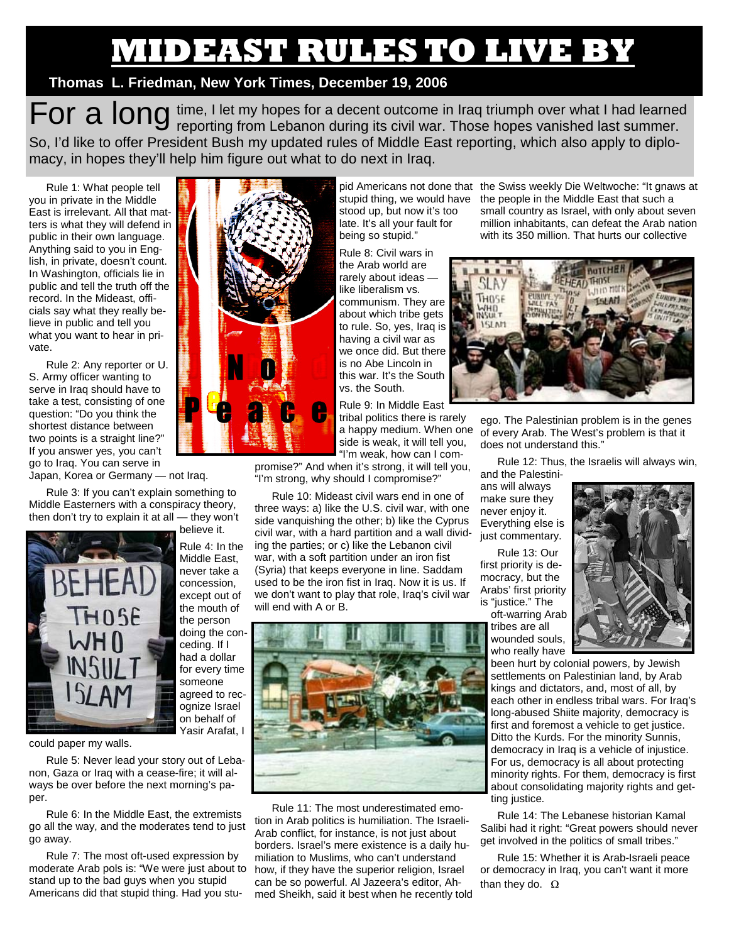## **MIDEAST RULES TO LIVE BY**

## **Thomas L. Friedman, New York Times, December 19, 2006**

For a long time, I let my hopes for a decent outcome in Iraq triumph over what I had learned<br>For a long reporting from Lebanon during its civil war. Those hopes vanished last summer. So, I'd like to offer President Bush my updated rules of Middle East reporting, which also apply to diplomacy, in hopes they'll help him figure out what to do next in Iraq.

Rule 1: What people tell you in private in the Middle East is irrelevant. All that matters is what they will defend in public in their own language. Anything said to you in English, in private, doesn't count. In Washington, officials lie in public and tell the truth off the record. In the Mideast, officials say what they really believe in public and tell you what you want to hear in private.

Rule 2: Any reporter or U. S. Army officer wanting to serve in Iraq should have to take a test, consisting of one question: "Do you think the shortest distance between two points is a straight line?" If you answer yes, you can't go to Iraq. You can serve in

Japan, Korea or Germany — not Iraq.

Rule 3: If you can't explain something to Middle Easterners with a conspiracy theory, then don't try to explain it at all — they won't



believe it. Rule 4: In the Middle East, never take a concession, except out of the mouth of the person doing the conceding. If I had a dollar for every time someone agreed to recognize Israel on behalf of

could paper my walls.

Rule 5: Never lead your story out of Lebanon, Gaza or Iraq with a cease-fire; it will always be over before the next morning's paper.

Rule 6: In the Middle East, the extremists go all the way, and the moderates tend to just go away.

Rule 7: The most oft-used expression by moderate Arab pols is: "We were just about to stand up to the bad guys when you stupid Americans did that stupid thing. Had you stu-



stood up, but now it's too late. It's all your fault for being so stupid."

Rule 8: Civil wars in the Arab world are rarely about ideas like liberalism vs. communism. They are about which tribe gets to rule. So, yes, Iraq is having a civil war as we once did. But there is no Abe Lincoln in this war. It's the South vs. the South.

Rule 9: In Middle East tribal politics there is rarely a happy medium. When one side is weak, it will tell you, "I'm weak, how can I com-

promise?" And when it's strong, it will tell you, "I'm strong, why should I compromise?"

Rule 10: Mideast civil wars end in one of three ways: a) like the U.S. civil war, with one side vanquishing the other; b) like the Cyprus civil war, with a hard partition and a wall dividing the parties; or c) like the Lebanon civil war, with a soft partition under an iron fist (Syria) that keeps everyone in line. Saddam used to be the iron fist in Iraq. Now it is us. If we don't want to play that role, Iraq's civil war will end with A or B.



Rule 11: The most underestimated emotion in Arab politics is humiliation. The Israeli-Arab conflict, for instance, is not just about borders. Israel's mere existence is a daily humiliation to Muslims, who can't understand how, if they have the superior religion, Israel can be so powerful. Al Jazeera's editor, Ahmed Sheikh, said it best when he recently told

pid Americans not done that the Swiss weekly Die Weltwoche: "It gnaws at stupid thing, we would have the people in the Middle East that such a small country as Israel, with only about seven million inhabitants, can defeat the Arab nation with its 350 million. That hurts our collective



ego. The Palestinian problem is in the genes of every Arab. The West's problem is that it does not understand this."

Rule 12: Thus, the Israelis will always win, and the Palestini-

ans will always make sure they never enjoy it. Everything else is just commentary.

Rule 13: Our first priority is democracy, but the Arabs' first priority is "justice." The

oft-warring Arab tribes are all wounded souls, who really have



been hurt by colonial powers, by Jewish settlements on Palestinian land, by Arab kings and dictators, and, most of all, by each other in endless tribal wars. For Iraq's long-abused Shiite majority, democracy is first and foremost a vehicle to get justice. Ditto the Kurds. For the minority Sunnis, democracy in Iraq is a vehicle of injustice. For us, democracy is all about protecting minority rights. For them, democracy is first about consolidating majority rights and getting justice.

Rule 14: The Lebanese historian Kamal Salibi had it right: "Great powers should never get involved in the politics of small tribes."

Rule 15: Whether it is Arab-Israeli peace or democracy in Iraq, you can't want it more than they do.  $Ω$